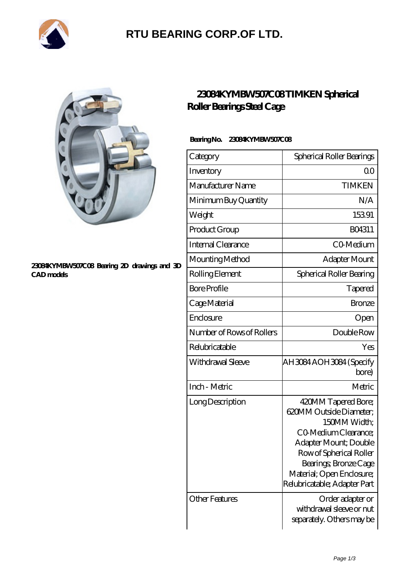

# **[RTU BEARING CORP.OF LTD.](https://arkcalledearth.org)**



#### **[23084KYMBW507C08 Bearing 2D drawings and 3D](https://arkcalledearth.org/pic-629748.html) [CAD models](https://arkcalledearth.org/pic-629748.html)**

### **[23084KYMBW507C08 TIMKEN Spherical](https://arkcalledearth.org/spherical-roller-bearings-steel-cage/23084kymbw507c08.html) [Roller Bearings Steel Cage](https://arkcalledearth.org/spherical-roller-bearings-steel-cage/23084kymbw507c08.html)**

#### **Bearing No. 23084KYMBW507C08**

| Category                  | Spherical Roller Bearings                                                                                                                                                                                                        |
|---------------------------|----------------------------------------------------------------------------------------------------------------------------------------------------------------------------------------------------------------------------------|
| Inventory                 | 0 <sup>0</sup>                                                                                                                                                                                                                   |
| Manufacturer Name         | <b>TIMKEN</b>                                                                                                                                                                                                                    |
| Minimum Buy Quantity      | N/A                                                                                                                                                                                                                              |
| Weight                    | 15391                                                                                                                                                                                                                            |
| Product Group             | BO4311                                                                                                                                                                                                                           |
| Internal Clearance        | CO-Medium                                                                                                                                                                                                                        |
| Mounting Method           | Adapter Mount                                                                                                                                                                                                                    |
| Rolling Element           | Spherical Roller Bearing                                                                                                                                                                                                         |
| <b>Bore Profile</b>       | Tapered                                                                                                                                                                                                                          |
| Cage Material             | <b>Bronze</b>                                                                                                                                                                                                                    |
| Enclosure                 | Open                                                                                                                                                                                                                             |
| Number of Rows of Rollers | Double Row                                                                                                                                                                                                                       |
| Relubricatable            | Yes                                                                                                                                                                                                                              |
| Withdrawal Sleeve         | AH3084AOH3084 (Specify<br>bore)                                                                                                                                                                                                  |
| Inch - Metric             | Metric                                                                                                                                                                                                                           |
| Long Description          | 420MM Tapered Bore;<br>620MM Outside Diameter;<br>150MM Width;<br>CO Medium Clearance;<br>Adapter Mount; Double<br>Row of Spherical Roller<br>Bearings; Bronze Cage<br>Material; Open Enclosure;<br>Relubricatable; Adapter Part |
| <b>Other Features</b>     | Order adapter or<br>withdrawal sleeve or nut<br>separately. Others may be                                                                                                                                                        |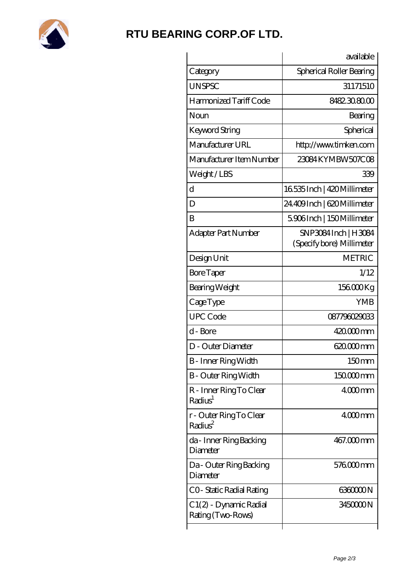

## **[RTU BEARING CORP.OF LTD.](https://arkcalledearth.org)**

|                                                | available                                        |
|------------------------------------------------|--------------------------------------------------|
| Category                                       | Spherical Roller Bearing                         |
| <b>UNSPSC</b>                                  | 31171510                                         |
| Harmonized Tariff Code                         | 8482308000                                       |
| Noun                                           | Bearing                                          |
| Keyword String                                 | Spherical                                        |
| Manufacturer URL                               | http://www.timken.com                            |
| Manufacturer Item Number                       | 23084KYMBW507C08                                 |
| Weight/LBS                                     | 339                                              |
| d                                              | 16535 Inch   420 Millimeter                      |
| D                                              | 24.409 Inch   620 Millimeter                     |
| B                                              | 5906Inch   150Millimeter                         |
| <b>Adapter Part Number</b>                     | SNP3084Inch   H3084<br>(Specify bore) Millimeter |
| Design Unit                                    | <b>METRIC</b>                                    |
| <b>Bore Taper</b>                              | 1/12                                             |
| Bearing Weight                                 | 156000Kg                                         |
| CageType                                       | <b>YMB</b>                                       |
| <b>UPC Code</b>                                | 087796029033                                     |
| d - Bore                                       | 420.000mm                                        |
| D - Outer Diameter                             | 620.000 mm                                       |
| <b>B</b> - Inner Ring Width                    | 150mm                                            |
| <b>B</b> - Outer Ring Width                    | 150000mm                                         |
| R - Inner Ring To Clear<br>Radius <sup>1</sup> | $4000$ mm                                        |
| r - Outer Ring To Clear<br>Radius <sup>2</sup> | $4000$ mm                                        |
| da - Inner Ring Backing<br>Diameter            | 467.000mm                                        |
| Da - Outer Ring Backing<br>Diameter            | 576000mm                                         |
| CO- Static Radial Rating                       | 636000N                                          |
| C 1(2) - Dynamic Radial<br>Rating (Two-Rows)   | 345000N                                          |
|                                                |                                                  |